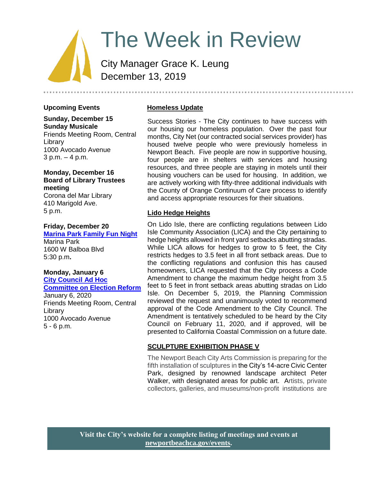# The Week in Review

City Manager Grace K. Leung December 13, 2019

# **Upcoming Events**

**Sunday, December 15 Sunday Musicale** Friends Meeting Room, Central **Library** 1000 Avocado Avenue 3 p.m. – 4 p.m.

#### **Monday, December 16 Board of Library Trustees meeting**

Corona del Mar Library 410 Marigold Ave. 5 p.m.

#### **Friday, December 20**

**[Marina Park Family Fun Night](https://www.newportbeachca.gov/Home/Components/Calendar/Event/57614/72)** Marina Park 1600 W Balboa Blvd 5:30 p.m**.**

# **Monday, January 6**

**[City Council Ad Hoc](https://www.newportbeachca.gov/Home/Components/Calendar/Event/61178/72?curm=1&cury=2020)  [Committee on Election Reform](https://www.newportbeachca.gov/Home/Components/Calendar/Event/61178/72?curm=1&cury=2020)**

January 6, 2020 Friends Meeting Room, Central Library 1000 Avocado Avenue 5 - 6 p.m.

#### **Homeless Update**

Success Stories - The City continues to have success with our housing our homeless population. Over the past four months, City Net (our contracted social services provider) has housed twelve people who were previously homeless in Newport Beach. Five people are now in supportive housing, four people are in shelters with services and housing resources, and three people are staying in motels until their housing vouchers can be used for housing. In addition, we are actively working with fifty-three additional individuals with the County of Orange Continuum of Care process to identify and access appropriate resources for their situations.

#### **Lido Hedge Heights**

On Lido Isle, there are conflicting regulations between Lido Isle Community Association (LICA) and the City pertaining to hedge heights allowed in front yard setbacks abutting stradas. While LICA allows for hedges to grow to 5 feet, the City restricts hedges to 3.5 feet in all front setback areas. Due to the conflicting regulations and confusion this has caused homeowners, LICA requested that the City process a Code Amendment to change the maximum hedge height from 3.5 feet to 5 feet in front setback areas abutting stradas on Lido Isle. On December 5, 2019, the Planning Commission reviewed the request and unanimously voted to recommend approval of the Code Amendment to the City Council. The Amendment is tentatively scheduled to be heard by the City Council on February 11, 2020, and if approved, will be presented to California Coastal Commission on a future date.

#### **SCULPTURE EXHIBITION PHASE V**

The Newport Beach City Arts Commission is preparing for the fifth installation of sculptures in the City's 14-acre Civic Center Park, designed by renowned landscape architect Peter Walker, with designated areas for public art. Artists, private collectors, galleries, and museums/non-profit institutions are